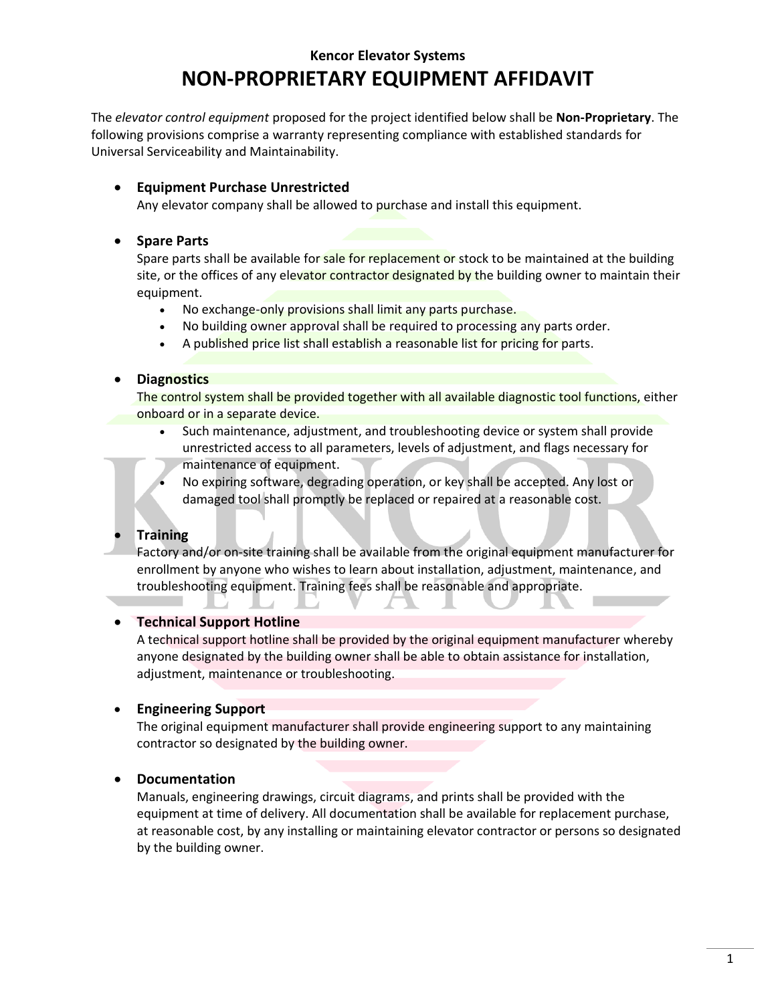# **Kencor Elevator Systems NON-PROPRIETARY EQUIPMENT AFFIDAVIT**

The *elevator control equipment* proposed for the project identified below shall be **Non-Proprietary**. The following provisions comprise a warranty representing compliance with established standards for Universal Serviceability and Maintainability.

## • **Equipment Purchase Unrestricted**

Any elevator company shall be allowed to purchase and install this equipment.

### • **Spare Parts**

Spare parts shall be available for sale for replacement or stock to be maintained at the building site, or the offices of any elevator contractor designated by the building owner to maintain their equipment.

- No exchange-only provisions shall limit any parts purchase.
- No building owner approval shall be required to processing any parts order.
- A published price list shall establish a reasonable list for pricing for parts.

### • **Diagnostics**

The control system shall be provided together with all available diagnostic tool functions, either onboard or in a separate device.

- Such maintenance, adjustment, and troubleshooting device or system shall provide unrestricted access to all parameters, levels of adjustment, and flags necessary for maintenance of equipment.
- No expiring software, degrading operation, or key shall be accepted. Any lost or damaged tool shall promptly be replaced or repaired at a reasonable cost.

## • **Training**

Factory and/or on-site training shall be available from the original equipment manufacturer for enrollment by anyone who wishes to learn about installation, adjustment, maintenance, and troubleshooting equipment. Training fees shall be reasonable and appropriate.

#### • **Technical Support Hotline**

A technical support hotline shall be provided by the original equipment manufacturer whereby anyone designated by the building owner shall be able to obtain assistance for installation, adjustment, maintenance or troubleshooting.

## • **Engineering Support**

The original equipment manufacturer shall provide engineering support to any maintaining contractor so designated by the building owner.

## • **Documentation**

Manuals, engineering drawings, circuit diagrams, and prints shall be provided with the equipment at time of delivery. All documentation shall be available for replacement purchase, at reasonable cost, by any installing or maintaining elevator contractor or persons so designated by the building owner.